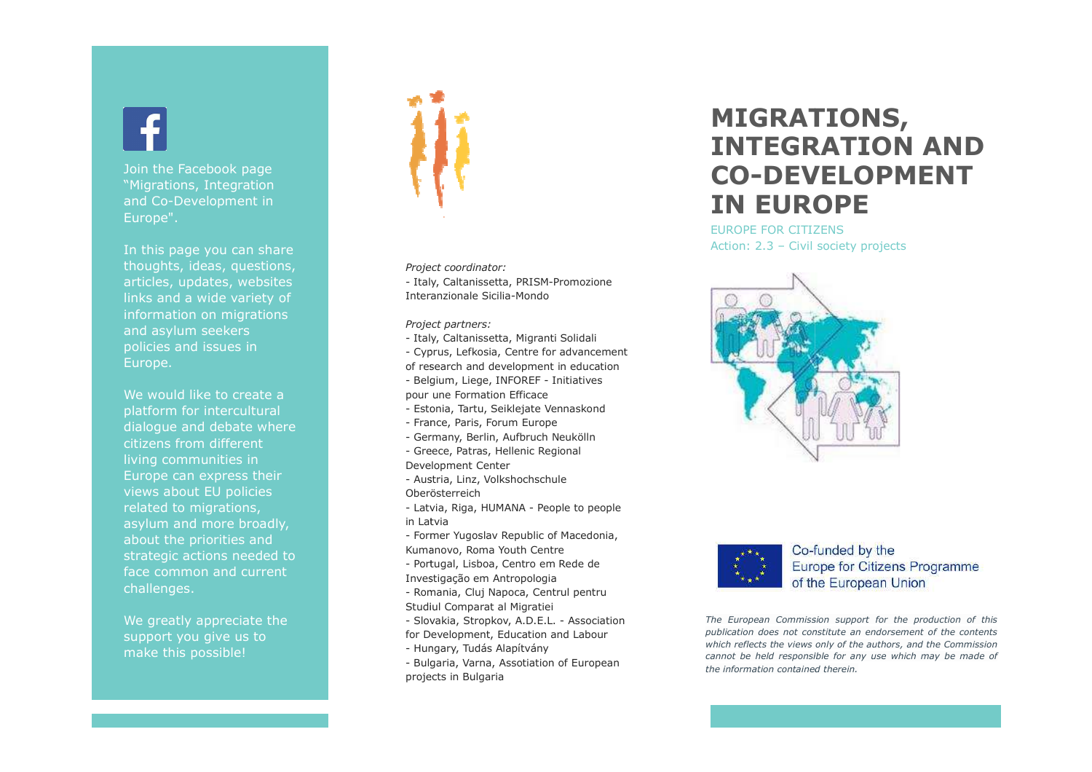Join the Facebook page "Migrations, Integration and Co-Development in Europe".

In this page you can share thoughts, ideas, questions, articles, updates, websites links and a wide variety of information on migrations and asylum seekers policies and issues in Europe.

We would like to create a platform for intercultural dialogue and debate where citizens from different living communities in Europe can express their views about EU policies related to migrations, asylum and more broadly, about the priorities and strategic actions needed to face common and current challenges.

We greatly appreciate the support you give us to make this possible!



*Project coordinator:*- Italy, Caltanissetta, PRISM-Promozione Interanzionale Sicilia-Mondo

*Project partners:partners:*

- Italy, Caltanissetta, Migranti Solidali - Cyprus, Lefkosia, Centre for advancement of research and development in educationof research and development in educati<br>- Belgium, Liege, INFOREF - Initiatives pour une Formation Efficace - Estonia, Tartu, Seiklejate Vennaskond - France, Paris, Forum Europe - Germany, Berlin, Aufbruch Aufbruch Neukölln - Greece, Patras, Hellenic Regional Development Center - Austria, Linz, VolkshochschuleOberösterreich- Latvia, Riga, HUMANA - People to people in Latvia- Former Yugoslav Republic of Macedonia, Kumanovo, Roma Youth Centre - Portugal, Lisboa, Centro em Rede de Investigação em Antropologia - Romania, Cluj Napoca, Centrul pentru Studiul Comparat al Migratiei - Slovakia, Stropkov, A.D.E.L. - Association for Development, Education and Labourfor Development, Education a<br>- Hungary, Tudás Alapítvány Kumanovo, Roma Youth Centre<br>- Portugal, Lisboa, Centro em Rede de<br>Investigação em Antropologia
- Bulgaria, Varna, Assotiation of European projects in Bulgaria

# **MIGRATIONS, INTEGRATION AND CO-DEVELOPMENT DEVELOPMENT IN EUROPE**

EUROPE FOR CITIZENS Action: 2.3 - Civil society projects





Co-funded by the Europe for Citizens Programme of the European Union

*The European Commission support for the production of this publication does not constitute an endorsement of the contents which reflects the views only of the authors, and the Commission cannot be held responsiresponsible for any use which may be made of the information contained therein.the*